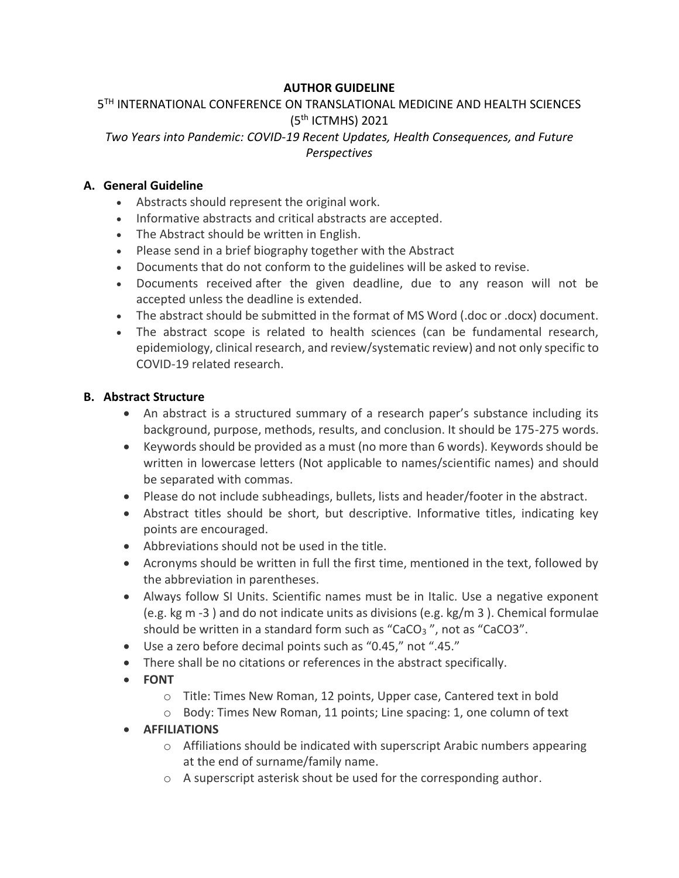## **AUTHOR GUIDELINE**

## 5 TH INTERNATIONAL CONFERENCE ON TRANSLATIONAL MEDICINE AND HEALTH SCIENCES (5<sup>th</sup> ICTMHS) 2021 *Two Years into Pandemic: COVID-19 Recent Updates, Health Consequences, and Future Perspectives*

### **A. General Guideline**

- Abstracts should represent the original work.
- Informative abstracts and critical abstracts are accepted.
- The Abstract should be written in English.
- Please send in a brief biography together with the Abstract
- Documents that do not conform to the guidelines will be asked to revise.
- Documents received after the given deadline, due to any reason will not be accepted unless the deadline is extended.
- The abstract should be submitted in the format of MS Word (.doc or .docx) document.
- The abstract scope is related to health sciences (can be fundamental research, epidemiology, clinical research, and review/systematic review) and not only specific to COVID-19 related research.

### **B. Abstract Structure**

- An abstract is a structured summary of a research paper's substance including its background, purpose, methods, results, and conclusion. It should be 175-275 words.
- Keywords should be provided as a must (no more than 6 words). Keywords should be written in lowercase letters (Not applicable to names/scientific names) and should be separated with commas.
- Please do not include subheadings, bullets, lists and header/footer in the abstract.
- Abstract titles should be short, but descriptive. Informative titles, indicating key points are encouraged.
- Abbreviations should not be used in the title.
- Acronyms should be written in full the first time, mentioned in the text, followed by the abbreviation in parentheses.
- Always follow SI Units. Scientific names must be in Italic. Use a negative exponent (e.g. kg m -3 ) and do not indicate units as divisions (e.g. kg/m 3 ). Chemical formulae should be written in a standard form such as "CaCO<sup>3</sup> ", not as "CaCO3".
- Use a zero before decimal points such as "0.45," not ".45."
- There shall be no citations or references in the abstract specifically.
- **FONT**
	- o Title: Times New Roman, 12 points, Upper case, Cantered text in bold
	- o Body: Times New Roman, 11 points; Line spacing: 1, one column of text
- **AFFILIATIONS**
	- o Affiliations should be indicated with superscript Arabic numbers appearing at the end of surname/family name.
	- o A superscript asterisk shout be used for the corresponding author.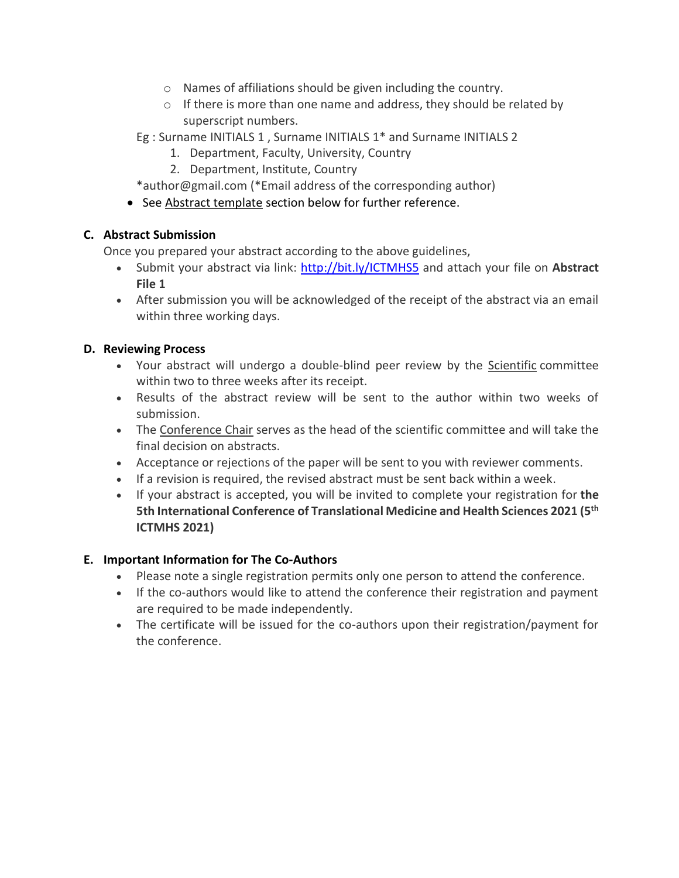- o Names of affiliations should be given including the country.
- o If there is more than one name and address, they should be related by superscript numbers.
- Eg : Surname INITIALS 1 , Surname INITIALS 1\* and Surname INITIALS 2
	- 1. Department, Faculty, University, Country
	- 2. Department, Institute, Country
- \*author@gmail.com (\*Email address of the corresponding author)
- See Abstract template section below for further reference.

# **C. Abstract Submission**

Once you prepared your abstract according to the above guidelines,

- Submit your abstract via link: <http://bit.ly/ICTMHS5> and attach your file on **Abstract File 1**
- After submission you will be acknowledged of the receipt of the abstract via an email within three working days.

## **D. Reviewing Process**

- Your abstract will undergo a double-blind peer review by the Scientific committee within two to three weeks after its receipt.
- Results of the abstract review will be sent to the author within two weeks of submission.
- The Conference Chair serves as the head of the scientific committee and will take the final decision on abstracts.
- Acceptance or rejections of the paper will be sent to you with reviewer comments.
- If a revision is required, the revised abstract must be sent back within a week.
- If your abstract is accepted, you will be invited to complete your registration for **the 5th International Conference of Translational Medicine and Health Sciences 2021 (5th ICTMHS 2021)**

## **E. Important Information for The Co-Authors**

- Please note a single registration permits only one person to attend the conference.
- If the co-authors would like to attend the conference their registration and payment are required to be made independently.
- The certificate will be issued for the co-authors upon their registration/payment for the conference.